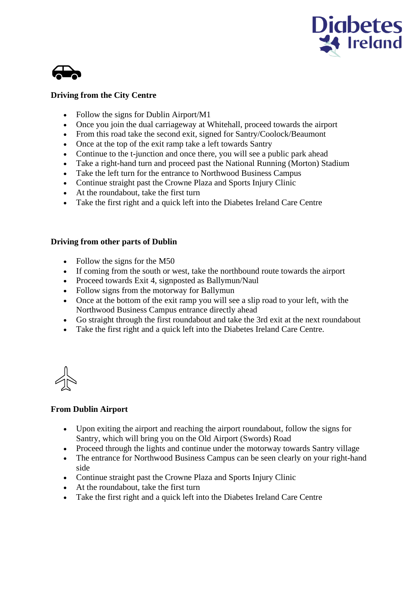



## **Driving from the City Centre**

- Follow the signs for Dublin Airport/M1
- Once you join the dual carriageway at Whitehall, proceed towards the airport
- From this road take the second exit, signed for Santry/Coolock/Beaumont
- Once at the top of the exit ramp take a left towards Santry
- Continue to the t-junction and once there, you will see a public park ahead
- Take a right-hand turn and proceed past the National Running (Morton) Stadium
- Take the left turn for the entrance to Northwood Business Campus
- Continue straight past the Crowne Plaza and Sports Injury Clinic
- At the roundabout, take the first turn
- Take the first right and a quick left into the Diabetes Ireland Care Centre

## **Driving from other parts of Dublin**

- Follow the signs for the M50
- If coming from the south or west, take the northbound route towards the airport
- Proceed towards Exit 4, signposted as Ballymun/Naul
- Follow signs from the motorway for Ballymun
- Once at the bottom of the exit ramp you will see a slip road to your left, with the Northwood Business Campus entrance directly ahead
- Go straight through the first roundabout and take the 3rd exit at the next roundabout
- Take the first right and a quick left into the Diabetes Ireland Care Centre.

## **From Dublin Airport**

- Upon exiting the airport and reaching the airport roundabout, follow the signs for Santry, which will bring you on the Old Airport (Swords) Road
- Proceed through the lights and continue under the motorway towards Santry village
- The entrance for Northwood Business Campus can be seen clearly on your right-hand side
- Continue straight past the Crowne Plaza and Sports Injury Clinic
- At the roundabout, take the first turn
- Take the first right and a quick left into the Diabetes Ireland Care Centre